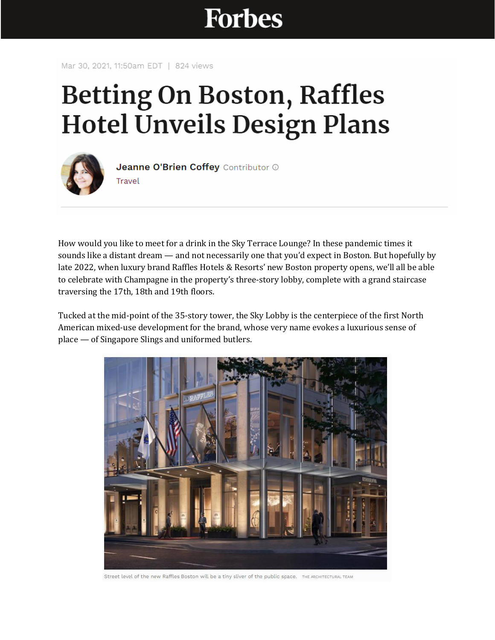## **Forbes**

Mar 30, 2021, 11:50am EDT | 824 views

## **Betting On Boston, Raffles Hotel Unveils Design Plans**



Jeanne O'Brien Coffey Contributor ® Travel

How would you like to meet for a drink in the Sky Terrace Lounge? In these pandemic times it sounds like a distant dream — and not necessarily one that you'd expect in Boston. But hopefully by late 2022, when luxury brand Raffles Hotels & Resorts' new Boston property opens, we'll all be able to celebrate with Champagne in the property's three-story lobby, complete with a grand staircase traversing the 17th, 18th and 19th floors.

Tucked at the mid-point of the 35-story tower, the Sky Lobby is the centerpiece of the first North American mixed-use development for the brand, whose very name evokes a luxurious sense of place — of Singapore Slings and uniformed butlers.



Street level of the new Raffles Boston will be a tiny sliver of the public space. THE ARCHITECTURAL TEAM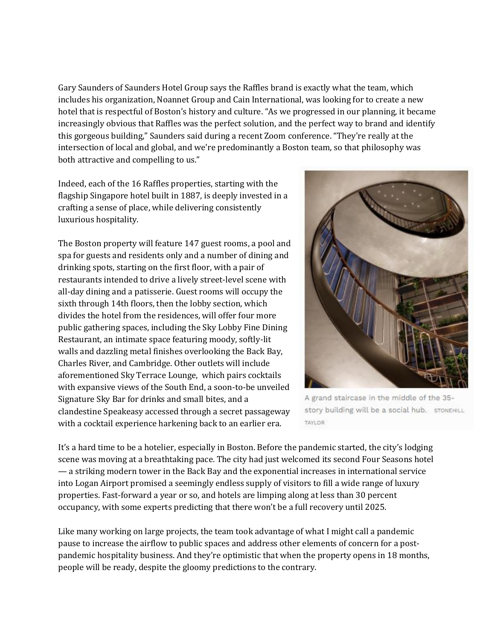Gary Saunders of Saunders Hotel Group says the Raffles brand is exactly what the team, which includes his organization, Noannet Group and Cain International, was looking for to create a new hotel that is respectful of Boston's history and culture. "As we progressed in our planning, it became increasingly obvious that Raffles was the perfect solution, and the perfect way to brand and identify this gorgeous building," Saunders said during a recent Zoom conference. "They're really at the intersection of local and global, and we're predominantly a Boston team, so that philosophy was both attractive and compelling to us."

Indeed, each of the 16 Raffles properties, starting with the flagship Singapore hotel built in 1887, is deeply invested in a crafting a sense of place, while delivering consistently luxurious hospitality.

The Boston property will feature 147 guest rooms, a pool and spa for guests and residents only and a number of dining and drinking spots, starting on the first floor, with a pair of restaurants intended to drive a lively street-level scene with all-day dining and a patisserie. Guest rooms will occupy the sixth through 14th floors, then the lobby section, which divides the hotel from the residences, will offer four more public gathering spaces, including the Sky Lobby Fine Dining Restaurant, an intimate space featuring moody, softly-lit walls and dazzling metal finishes overlooking the Back Bay, Charles River, and Cambridge. Other outlets will include aforementioned Sky Terrace Lounge, which pairs cocktails with expansive views of the South End, a soon-to-be unveiled Signature Sky Bar for drinks and small bites, and a clandestine Speakeasy accessed through a secret passageway with a cocktail experience harkening back to an earlier era.



A grand staircase in the middle of the 35story building will be a social hub. STONEHILL TAYLOR

It's a hard time to be a hotelier, especially in Boston. Before the pandemic started, the city's lodging scene was moving at a breathtaking pace. The city had just welcomed its second Four Seasons hotel — a striking modern tower in the Back Bay and the exponential increases in international service into Logan Airport promised a seemingly endless supply of visitors to fill a wide range of luxury properties. Fast-forward a year or so, and hotels are limping along at less than 30 percent occupancy, with some experts predicting that there won't be a full recovery until 2025.

Like many working on large projects, the team took advantage of what I might call a pandemic pause to increase the airflow to public spaces and address other elements of concern for a postpandemic hospitality business. And they're optimistic that when the property opens in 18 months, people will be ready, despite the gloomy predictions to the contrary.